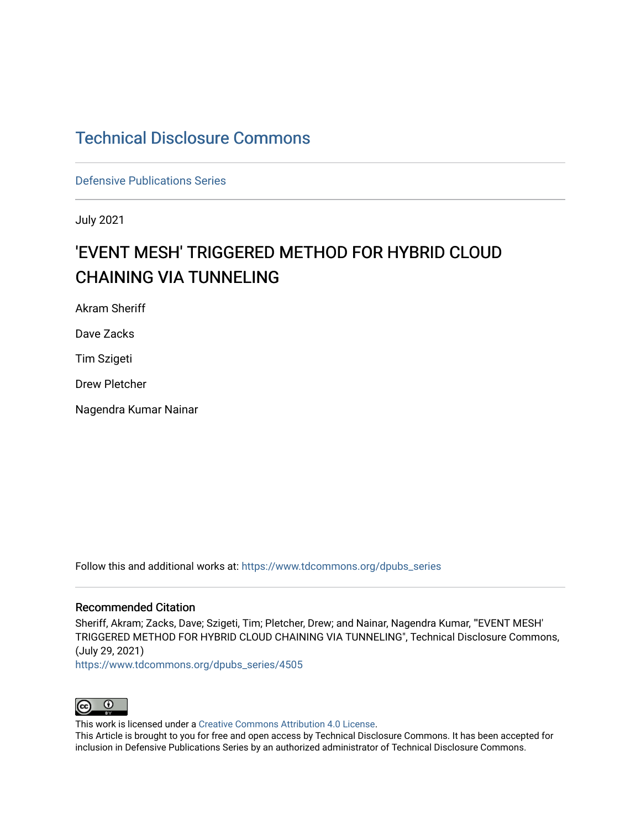# [Technical Disclosure Commons](https://www.tdcommons.org/)

[Defensive Publications Series](https://www.tdcommons.org/dpubs_series)

July 2021

# 'EVENT MESH' TRIGGERED METHOD FOR HYBRID CLOUD CHAINING VIA TUNNELING

Akram Sheriff

Dave Zacks

Tim Szigeti

Drew Pletcher

Nagendra Kumar Nainar

Follow this and additional works at: [https://www.tdcommons.org/dpubs\\_series](https://www.tdcommons.org/dpubs_series?utm_source=www.tdcommons.org%2Fdpubs_series%2F4505&utm_medium=PDF&utm_campaign=PDFCoverPages) 

## Recommended Citation

Sheriff, Akram; Zacks, Dave; Szigeti, Tim; Pletcher, Drew; and Nainar, Nagendra Kumar, "'EVENT MESH' TRIGGERED METHOD FOR HYBRID CLOUD CHAINING VIA TUNNELING", Technical Disclosure Commons, (July 29, 2021)

[https://www.tdcommons.org/dpubs\\_series/4505](https://www.tdcommons.org/dpubs_series/4505?utm_source=www.tdcommons.org%2Fdpubs_series%2F4505&utm_medium=PDF&utm_campaign=PDFCoverPages)



This work is licensed under a [Creative Commons Attribution 4.0 License](http://creativecommons.org/licenses/by/4.0/deed.en_US).

This Article is brought to you for free and open access by Technical Disclosure Commons. It has been accepted for inclusion in Defensive Publications Series by an authorized administrator of Technical Disclosure Commons.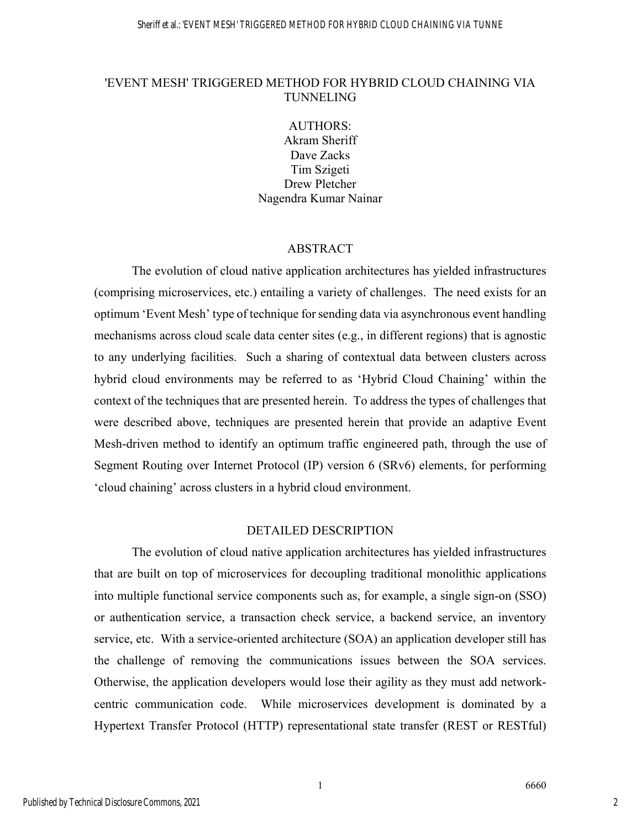## 'EVENT MESH' TRIGGERED METHOD FOR HYBRID CLOUD CHAINING VIA TUNNELING

AUTHORS: Akram Sheriff Dave Zacks Tim Szigeti Drew Pletcher Nagendra Kumar Nainar

#### ABSTRACT

The evolution of cloud native application architectures has yielded infrastructures (comprising microservices, etc.) entailing a variety of challenges. The need exists for an optimum 'Event Mesh' type of technique for sending data via asynchronous event handling mechanisms across cloud scale data center sites (e.g., in different regions) that is agnostic to any underlying facilities. Such a sharing of contextual data between clusters across hybrid cloud environments may be referred to as 'Hybrid Cloud Chaining' within the context of the techniques that are presented herein. To address the types of challenges that were described above, techniques are presented herein that provide an adaptive Event Mesh-driven method to identify an optimum traffic engineered path, through the use of Segment Routing over Internet Protocol (IP) version 6 (SRv6) elements, for performing 'cloud chaining' across clusters in a hybrid cloud environment.

#### DETAILED DESCRIPTION

The evolution of cloud native application architectures has yielded infrastructures that are built on top of microservices for decoupling traditional monolithic applications into multiple functional service components such as, for example, a single sign-on (SSO) or authentication service, a transaction check service, a backend service, an inventory service, etc. With a service-oriented architecture (SOA) an application developer still has the challenge of removing the communications issues between the SOA services. Otherwise, the application developers would lose their agility as they must add networkcentric communication code. While microservices development is dominated by a Hypertext Transfer Protocol (HTTP) representational state transfer (REST or RESTful)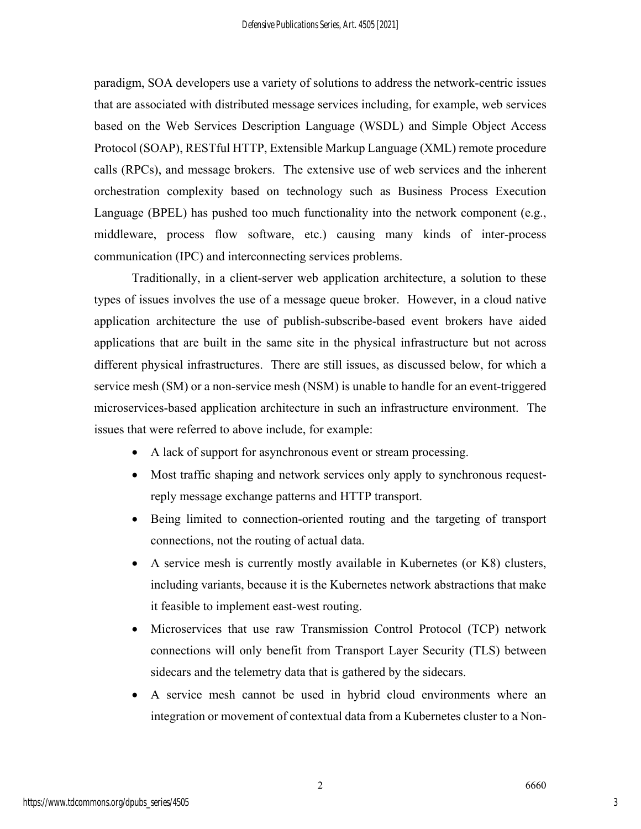paradigm, SOA developers use a variety of solutions to address the network-centric issues that are associated with distributed message services including, for example, web services based on the Web Services Description Language (WSDL) and Simple Object Access Protocol (SOAP), RESTful HTTP, Extensible Markup Language (XML) remote procedure calls (RPCs), and message brokers. The extensive use of web services and the inherent orchestration complexity based on technology such as Business Process Execution Language (BPEL) has pushed too much functionality into the network component (e.g., middleware, process flow software, etc.) causing many kinds of inter-process communication (IPC) and interconnecting services problems.

Traditionally, in a client-server web application architecture, a solution to these types of issues involves the use of a message queue broker. However, in a cloud native application architecture the use of publish-subscribe-based event brokers have aided applications that are built in the same site in the physical infrastructure but not across different physical infrastructures. There are still issues, as discussed below, for which a service mesh (SM) or a non-service mesh (NSM) is unable to handle for an event-triggered microservices-based application architecture in such an infrastructure environment. The issues that were referred to above include, for example:

- A lack of support for asynchronous event or stream processing.
- Most traffic shaping and network services only apply to synchronous requestreply message exchange patterns and HTTP transport.
- Being limited to connection-oriented routing and the targeting of transport connections, not the routing of actual data.
- A service mesh is currently mostly available in Kubernetes (or K8) clusters, including variants, because it is the Kubernetes network abstractions that make it feasible to implement east-west routing.
- Microservices that use raw Transmission Control Protocol (TCP) network connections will only benefit from Transport Layer Security (TLS) between sidecars and the telemetry data that is gathered by the sidecars.
- A service mesh cannot be used in hybrid cloud environments where an integration or movement of contextual data from a Kubernetes cluster to a Non-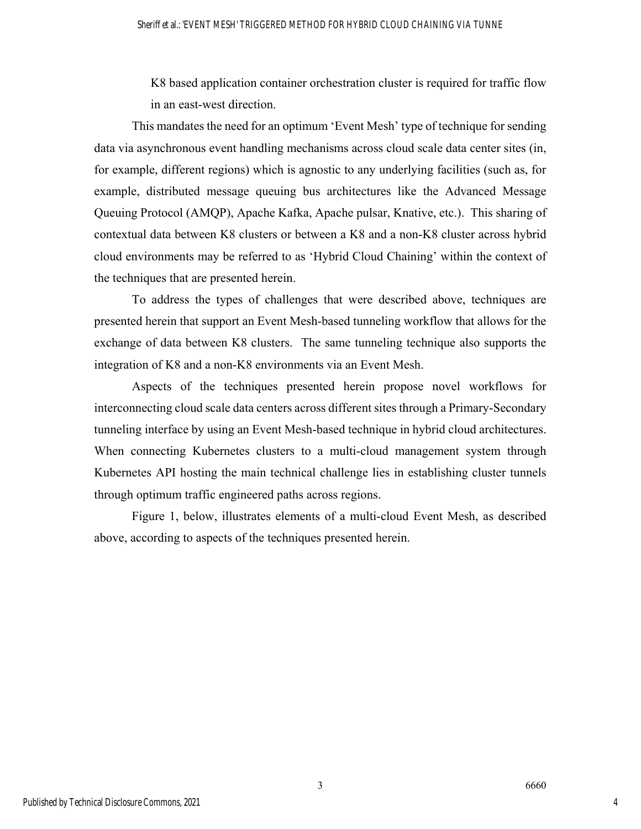K8 based application container orchestration cluster is required for traffic flow in an east-west direction.

This mandates the need for an optimum 'Event Mesh' type of technique for sending data via asynchronous event handling mechanisms across cloud scale data center sites (in, for example, different regions) which is agnostic to any underlying facilities (such as, for example, distributed message queuing bus architectures like the Advanced Message Queuing Protocol (AMQP), Apache Kafka, Apache pulsar, Knative, etc.). This sharing of contextual data between K8 clusters or between a K8 and a non-K8 cluster across hybrid cloud environments may be referred to as 'Hybrid Cloud Chaining' within the context of the techniques that are presented herein.

To address the types of challenges that were described above, techniques are presented herein that support an Event Mesh-based tunneling workflow that allows for the exchange of data between K8 clusters. The same tunneling technique also supports the integration of K8 and a non-K8 environments via an Event Mesh.

Aspects of the techniques presented herein propose novel workflows for interconnecting cloud scale data centers across different sites through a Primary-Secondary tunneling interface by using an Event Mesh-based technique in hybrid cloud architectures. When connecting Kubernetes clusters to a multi-cloud management system through Kubernetes API hosting the main technical challenge lies in establishing cluster tunnels through optimum traffic engineered paths across regions.

Figure 1, below, illustrates elements of a multi-cloud Event Mesh, as described above, according to aspects of the techniques presented herein.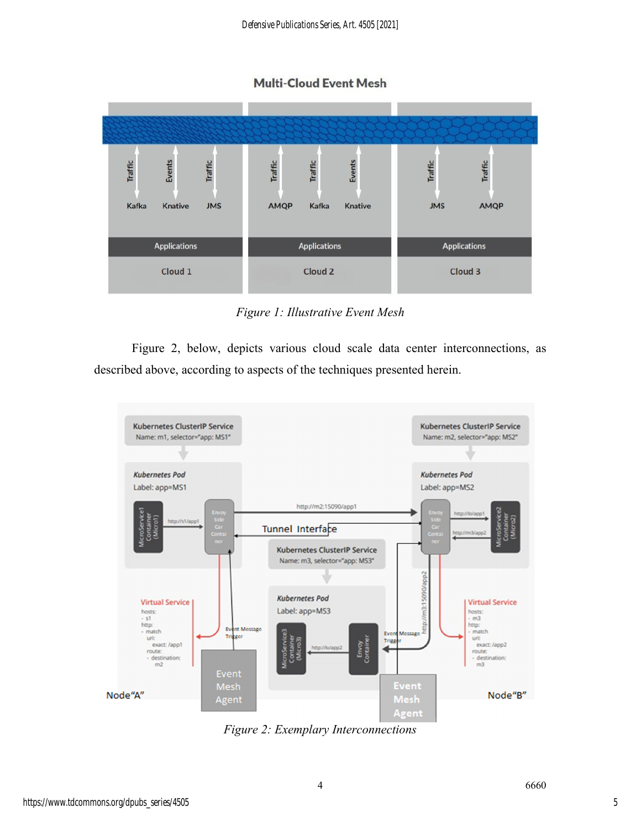**Multi-Cloud Event Mesh** 



*Figure 1: Illustrative Event Mesh* 

Figure 2, below, depicts various cloud scale data center interconnections, as described above, according to aspects of the techniques presented herein.



*Figure 2: Exemplary Interconnections*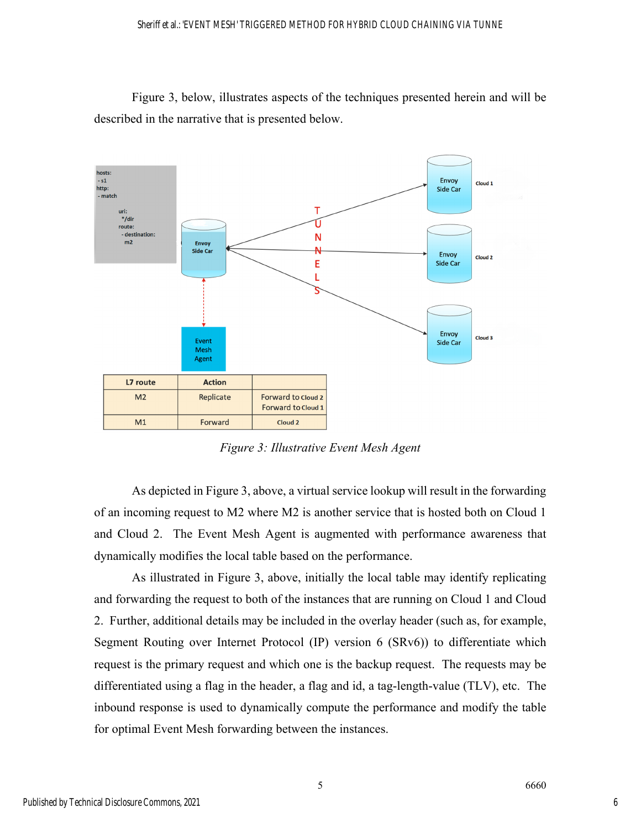Figure 3, below, illustrates aspects of the techniques presented herein and will be described in the narrative that is presented below.



*Figure 3: Illustrative Event Mesh Agent* 

As depicted in Figure 3, above, a virtual service lookup will result in the forwarding of an incoming request to M2 where M2 is another service that is hosted both on Cloud 1 and Cloud 2. The Event Mesh Agent is augmented with performance awareness that dynamically modifies the local table based on the performance.

As illustrated in Figure 3, above, initially the local table may identify replicating and forwarding the request to both of the instances that are running on Cloud 1 and Cloud 2. Further, additional details may be included in the overlay header (such as, for example, Segment Routing over Internet Protocol (IP) version 6 (SRv6)) to differentiate which request is the primary request and which one is the backup request. The requests may be differentiated using a flag in the header, a flag and id, a tag-length-value (TLV), etc. The inbound response is used to dynamically compute the performance and modify the table for optimal Event Mesh forwarding between the instances.